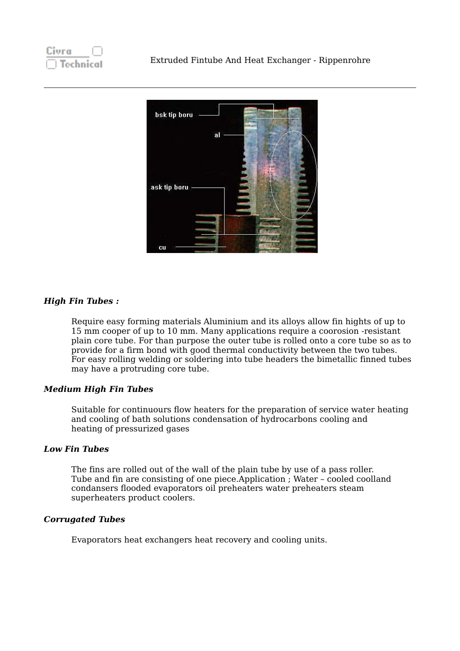

# *High Fin Tubes :*

Require easy forming materials Aluminium and its alloys allow fin hights of up to 15 mm cooper of up to 10 mm. Many applications require a coorosion -resistant plain core tube. For than purpose the outer tube is rolled onto a core tube so as to provide for a firm bond with good thermal conductivity between the two tubes. For easy rolling welding or soldering into tube headers the bimetallic finned tubes may have a protruding core tube.

# *Medium High Fin Tubes*

Suitable for continuours flow heaters for the preparation of service water heating and cooling of bath solutions condensation of hydrocarbons cooling and heating of pressurized gases

# *Low Fin Tubes*

The fins are rolled out of the wall of the plain tube by use of a pass roller. Tube and fin are consisting of one piece.Application ; Water – cooled coolland condansers flooded evaporators oil preheaters water preheaters steam superheaters product coolers.

# *Corrugated Tubes*

Evaporators heat exchangers heat recovery and cooling units.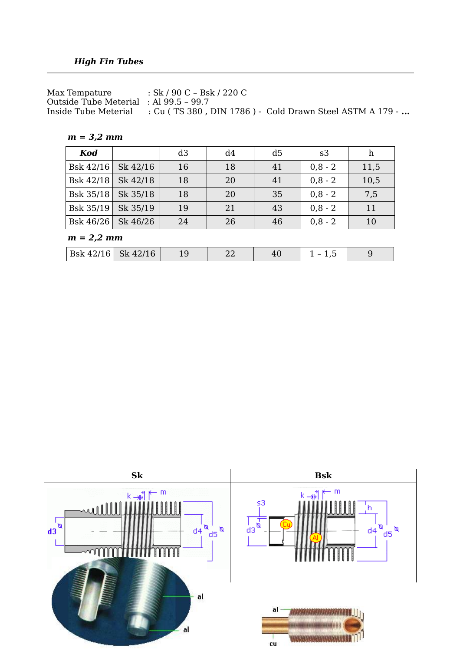Max Tempature : Sk / 90 C – Bsk / 220 C Outside Tube Meterial : Al 99.5 – 99.7 Inside Tube Meterial : Cu ( TS 380 , DIN 1786 ) - Cold Drawn Steel ASTM A 179 - **...**

*m = 3,2 mm*

| Kod       |          | d3 | d4 | d <sub>5</sub> | s3        | h    |
|-----------|----------|----|----|----------------|-----------|------|
| Bsk 42/16 | Sk 42/16 | 16 | 18 | 41             | $0,8 - 2$ | 11,5 |
| Bsk 42/18 | Sk 42/18 | 18 | 20 | 41             | $0,8 - 2$ | 10,5 |
| Bsk 35/18 | Sk 35/18 | 18 | 20 | 35             | $0,8 - 2$ | 7,5  |
| Bsk 35/19 | Sk 35/19 | 19 | 21 | 43             | $0,8 - 2$ | 11   |
| Bsk 46/26 | Sk 46/26 | 24 | 26 | 46             | $0,8 - 2$ | 10   |

*m = 2,2 mm*

| $\overline{R}$ $\overline{R}$<br>$1001x + 27x$<br>$212 + 201 +$ |  |  |  |  |
|-----------------------------------------------------------------|--|--|--|--|
|-----------------------------------------------------------------|--|--|--|--|

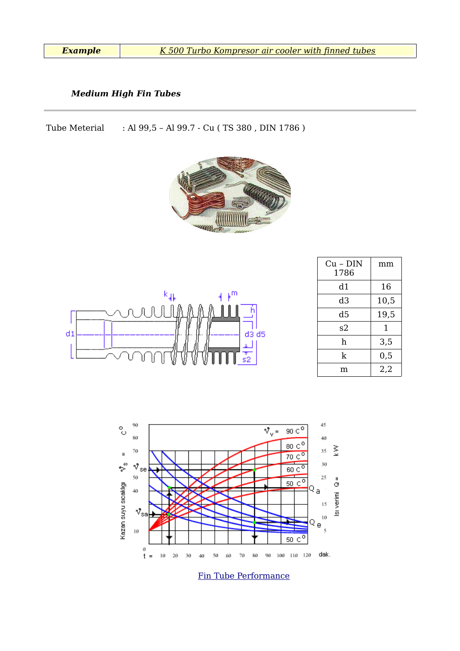*Example [K 500 Turbo Kompresor air cooler with finned tubes](https://fintube.web.tr/kompresor_hava_sogutucu.html)*

### *Medium High Fin Tubes*

Tube Meterial : Al 99,5 – Al 99.7 - Cu ( TS 380 , DIN 1786 )





| $Cu - DIN$<br>1786 | mm   |
|--------------------|------|
| d1                 | 16   |
| d3                 | 10,5 |
| d5                 | 19,5 |
| s2                 | 1    |
| h                  | 3,5  |
| k                  | 0,5  |
| m                  | 2,2  |



[Fin Tube Performance](http://www.fintube.web.tr/boyler.html)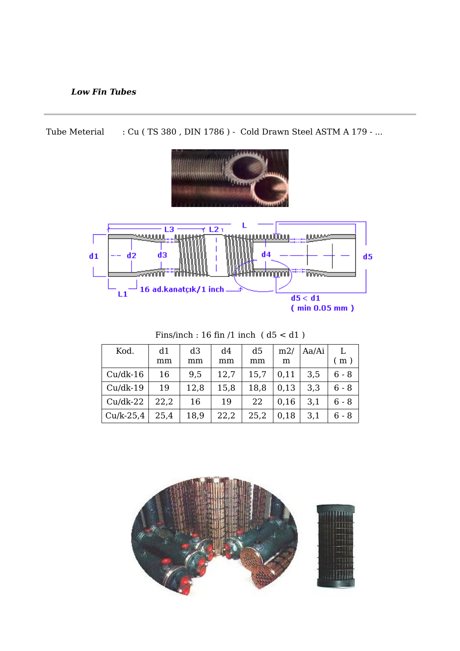# *Low Fin Tubes*

Tube Meterial : Cu (TS 380, DIN 1786) - Cold Drawn Steel ASTM A 179 - ...



| Kod.        | d1   | d <sub>3</sub> | d4   | d5   | m2/  | Aa/Ai | L.                       |
|-------------|------|----------------|------|------|------|-------|--------------------------|
|             | mm   | mm             | mm   | mm   | m    |       | $\epsilon$ m $^{\rm{+}}$ |
| $Cu/dk-16$  | 16   | 9,5            | 12,7 | 15,7 | 0,11 | 3,5   | $6 - 8$                  |
| $Cu/dk-19$  | 19   | 12,8           | 15,8 | 18,8 | 0,13 | 3,3   | $6 - 8$                  |
| $Cu/dk-22$  | 22,2 | 16             | 19   | 22   | 0,16 | 3,1   | $6 - 8$                  |
| $Cu/k-25.4$ | 25,4 | 18,9           | 22,2 | 25,2 | 0,18 | 3,1   | 6 - 8                    |